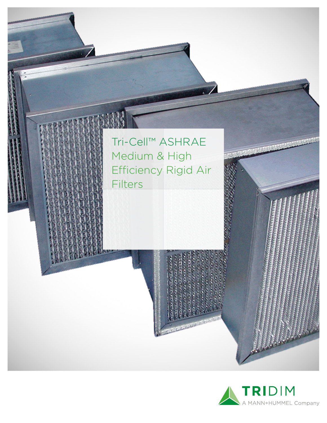

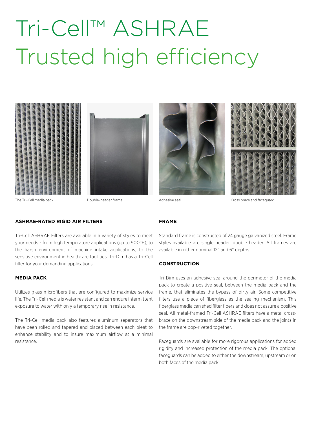# Tri-Cell™ ASHRAE Trusted high efficiency









The Tri-Cell media pack **The Tri-Cell media pack and faceguard** Double-header frame Adhesive seal Adhesive seal Cross brace and faceguard

### **ASHRAE-RATED RIGID AIR FILTERS**

Tri-Cell ASHRAE Filters are available in a variety of styles to meet your needs - from high temperature applications (up to 900°F), to the harsh environment of machine intake applications, to the sensitive environment in healthcare facilities. Tri-Dim has a Tri-Cell filter for your demanding applications.

#### **MEDIA PACK**

Utilizes glass microfibers that are configured to maximize service life. The Tri-Cell media is water resistant and can endure intermittent exposure to water with only a temporary rise in resistance.

The Tri-Cell media pack also features aluminum separators that have been rolled and tapered and placed between each pleat to enhance stability and to insure maximum airflow at a minimal resistance.

### **FRAME**

Standard frame is constructed of 24 gauge galvanized steel. Frame styles available are single header, double header. All frames are available in either nominal 12" and 6" depths.

#### **CONSTRUCTION**

Tri-Dim uses an adhesive seal around the perimeter of the media pack to create a positive seal, between the media pack and the frame, that eliminates the bypass of dirty air. Some competitive filters use a piece of fiberglass as the sealing mechanism. This fiberglass media can shed filter fibers and does not assure a positive seal. All metal-framed Tri-Cell ASHRAE filters have a metal crossbrace on the downstream side of the media pack and the joints in the frame are pop-riveted together.

Faceguards are available for more rigorous applications for added rigidity and increased protection of the media pack. The optional faceguards can be added to either the downstream, upstream or on both faces of the media pack.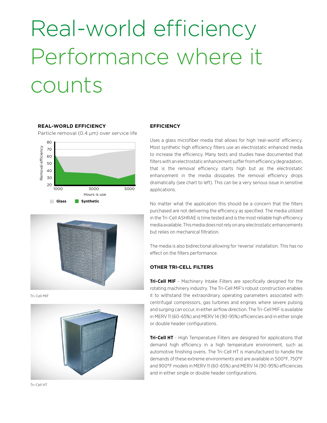# Real-world efficiency Performance where it counts

#### **REAL-WORLD EFFICIENCY**

Particle removal (0.4 µm) over service life





Tri-Cell MIF



#### **EFFICIENCY**

Uses a glass microfiber media that allows for high 'real-world' efficiency. Most synthetic high efficiency filters use an electrostatic enhanced media to increase the efficiency. Many tests and studies have documented that filters with an electrostatic enhancement suffer from efficiency degradation, that is the removal efficiency starts high but as the electrostatic enhancement in the media dissipates the removal efficiency drops dramatically (see chart to left). This can be a very serious issue in sensitive applications.

No matter what the application this should be a concern that the filters purchased are not delivering the efficiency as specified. The media utilized in the Tri-Cell ASHRAE is time tested and is the most reliable high efficiency media available. This media does not rely on any electrostatic enhancements but relies on mechanical filtration.

The media is also bidirectional allowing for 'reverse' installation. This has no effect on the filters performance.

#### **OTHER TRI-CELL FILTERS**

**Tri-Cell MIF** - Machinery Intake Filters are specifically designed for the rotating machinery industry. The Tri-Cell MIF's robust construction enables it to withstand the extraordinary operating parameters associated with centrifugal compressors, gas turbines and engines where severe pulsing and surging can occur, in either airflow direction. The Tri-Cell MIF is available in MERV 11 (60-65%) and MERV 14 (90-95%) efficiencies and in either single or double header configurations.

**Tri-Cell HT** - High Temperature Filters are designed for applications that demand high efficiency in a high temperature environment, such as automotive finishing ovens. The Tri-Cell HT is manufactured to handle the demands of these extreme environments and are available in 500°F, 750°F and 900°F models in MERV 11 (60-65%) and MERV 14 (90-95%) efficiencies and in either single or double header configurations.

Tri-Cell HT